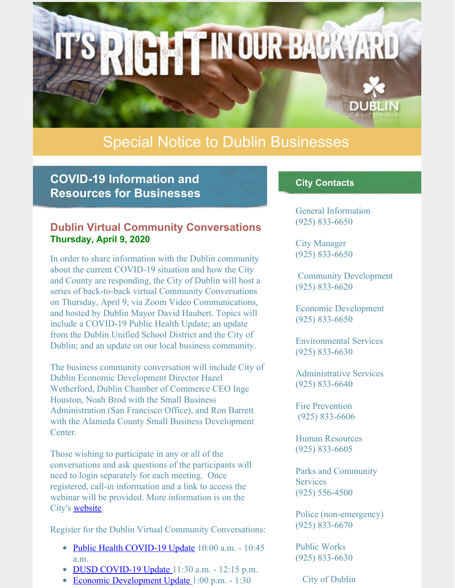

# Special Notice to Dublin Businesses

# **COVID-19 Information and Resources for Businesses**

## **Dublin Virtual Community Conversations Thursday, April 9, 2020**

In order to share information with the Dublin community about the current COVID-19 situation and how the City and County are responding, the City of Dublin will host a series of back-to-back virtual Community Conversations on Thursday, April 9, via Zoom Video Communications, and hosted by Dublin Mayor David Haubert. Topics will include a COVID-19 Public Health Update; an update from the Dublin Unified School District and the City of Dublin; and an update on our local business community.

The business community conversation will include City of Dublin Economic Development Director Hazel Wetherford, Dublin Chamber of Commerce CEO Inge Houston, Noah Brod with the Small Business Administration (San Francisco Office), and Ron Barrett with the Alameda County Small Business Development Center.

Those wishing to participate in any or all of the conversations and ask questions of the participants will need to login separately for each meeting. Once registered, call-in information and a link to access the webinar will be provided. More information is on the City's [website](https://dublin.ca.gov/civicalerts.aspx?AID=3461).

Register for the Dublin Virtual Community Conversations:

- Public Health [COVID-19](https://zoom.us/webinar/register/WN_TErNq-PhQZ2t_2fHDw5ioA) Update 10:00 a.m. 10:45 a.m.
- $\bullet$  DUSD [COVID-19](https://zoom.us/webinar/register/WN_IoHNtQsnQhSB7UE_KIG8nw) Update 11:30 a.m. 12:15 p.m.
- Economic [Development](https://zoom.us/webinar/register/WN_2MCrmVbnRrGqyw5bUw-J_Q) Update 1:00 p.m. 1:30  $\bullet$

## **City Contacts**

General Information (925) 833-6650

City Manager (925) 833-6650

Community Development (925) 833-6620

Economic Development (925) 833-6650

Environmental Services (925) 833-6630

Administrative Services (925) 833-6640

Fire Prevention (925) 833-6606

Human Resources (925) 833-6605

Parks and Community **Services** (925) 556-4500

Police (non-emergency) (925) 833-6670

Public Works (925) 833-6630

City of Dublin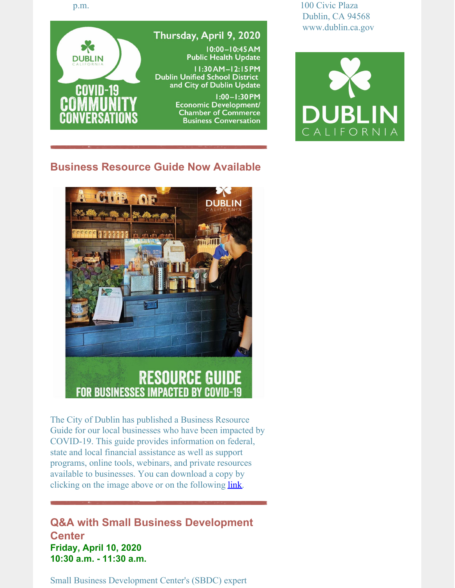p.m.



100 Civic Plaza Dublin, CA 94568 www.dublin.ca.gov



# **Business Resource Guide Now Available**



The City of Dublin has published a Business Resource Guide for our local businesses who have been impacted by COVID-19. This guide provides information on federal, state and local financial assistance as well as support programs, online tools, webinars, and private resources available to businesses. You can download a copy by clicking on the image above or on the following **[link](https://dublin.ca.gov/DocumentCenter/View/22168/ED-COVID-19-Business-Resource-Guide?bidId=)**.

# **Q&A with Small Business Development Center Friday, April 10, 2020 10:30 a.m. - 11:30 a.m.**

Small Business Development Center's (SBDC) expert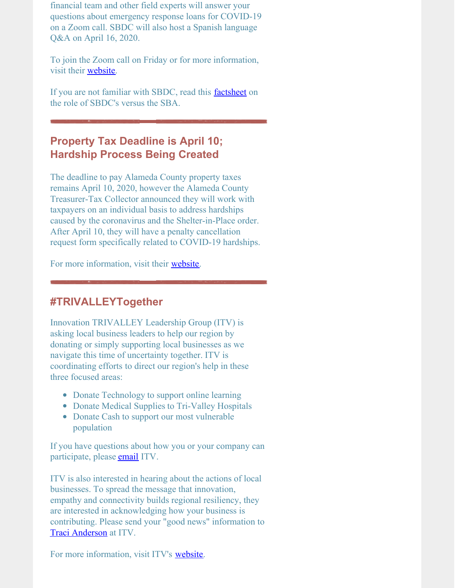financial team and other field experts will answer your questions about emergency response loans for COVID-19 on a Zoom call. SBDC will also host a Spanish language Q&A on April 16, 2020.

To join the Zoom call on Friday or for more information, visit their [website](http://campaign.r20.constantcontact.com/render?ca=52f426be-8777-4dd6-86e9-86694b7eb215&preview=true&m=1101408863358&id=preview).

If you are not familiar with SBDC, read this **[factsheet](https://drive.google.com/file/d/1-GmD790MebkMKgn9iOU-vggFu0-iuCnS/view)** on the role of SBDC's versus the SBA.

# **Property Tax Deadline is April 10; Hardship Process Being Created**

The deadline to pay Alameda County property taxes remains April 10, 2020, however the Alameda County Treasurer-Tax Collector announced they will work with taxpayers on an individual basis to address hardships caused by the coronavirus and the Shelter-in-Place order. After April 10, they will have a penalty cancellation request form specifically related to COVID-19 hardships.

For more information, visit their [website](https://treasurer.acgov.org/index.page).

## **#TRIVALLEYTogether**

Innovation TRIVALLEY Leadership Group (ITV) is asking local business leaders to help our region by donating or simply supporting local businesses as we navigate this time of uncertainty together. ITV is coordinating efforts to direct our region's help in these three focused areas:

- Donate Technology to support online learning
- Donate Medical Supplies to Tri-Valley Hospitals
- Donate Cash to support our most vulnerable population

If you have questions about how you or your company can participate, please **[email](mailto:info@innovationtrivalley.org)** ITV.

ITV is also interested in hearing about the actions of local businesses. To spread the message that innovation, empathy and connectivity builds regional resiliency, they are interested in acknowledging how your business is contributing. Please send your "good news" information to Traci [Anderson](mailto:tanderson@innovationtrivalley.org) at ITV.

For more information, visit ITV's [website](https://innovationtrivalley.org/how-can-you-help).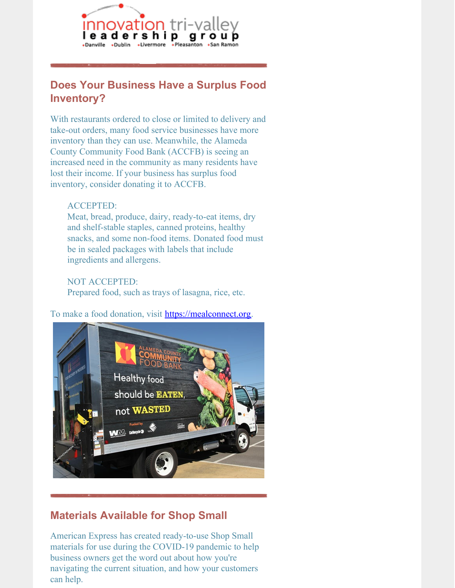

# **Does Your Business Have a Surplus Food Inventory?**

With restaurants ordered to close or limited to delivery and take-out orders, many food service businesses have more inventory than they can use. Meanwhile, the Alameda County Community Food Bank (ACCFB) is seeing an increased need in the community as many residents have lost their income. If your business has surplus food inventory, consider donating it to ACCFB.

### ACCEPTED:

Meat, bread, produce, dairy, ready-to-eat items, dry and shelf-stable staples, canned proteins, healthy snacks, and some non-food items. Donated food must be in sealed packages with labels that include ingredients and allergens.

## NOT ACCEPTED:

Prepared food, such as trays of lasagna, rice, etc.

### To make a food donation, visit **[https://mealconnect.org](https://mealconnect.org/disaster#/signup).**



# **Materials Available for Shop Small**

American Express has created ready-to-use Shop Small materials for use during the COVID-19 pandemic to help business owners get the word out about how you're navigating the current situation, and how your customers can help.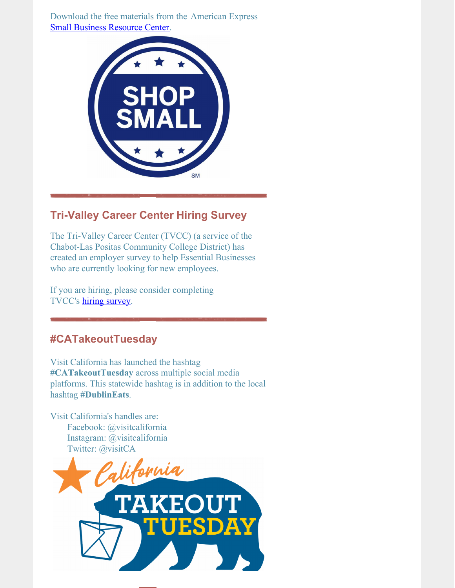Download the free materials from the American Express Small Business [Resource](https://www.americanexpress.com/us/merchant/sbrc/special-programs.html?extlink=em-us-GABM-C19_SBRC_SBO#socialdistancing) Center.



# **Tri-Valley Career Center Hiring Survey**

The Tri-Valley Career Center (TVCC) (a service of the Chabot-Las Positas Community College District) has created an employer survey to help Essential Businesses who are currently looking for new employees.

If you are hiring, please consider completing TVCC's hiring [survey.](https://www.surveymonkey.com/r/TriValleyEmployers)

# **#CATakeoutTuesday**

Visit California has launched the hashtag **#CATakeoutTuesday** across multiple social media platforms. This statewide hashtag is in addition to the local hashtag **#DublinEats**.

Visit California's handles are: Facebook: @visitcalifornia Instagram: @visitcalifornia Twitter: @visitCA